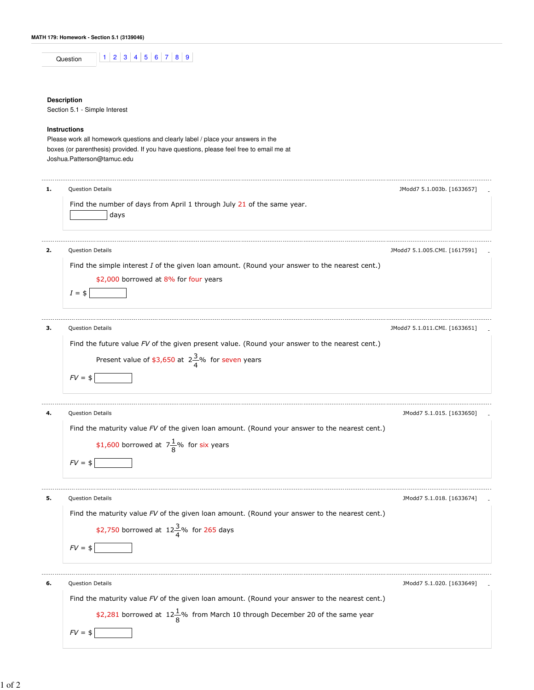|    | $8 \mid 9$<br>$\overline{2}$<br>3 <sup>1</sup><br>5 6 7<br>$\vert$ 4<br>Question              |                               |
|----|-----------------------------------------------------------------------------------------------|-------------------------------|
|    |                                                                                               |                               |
|    | <b>Description</b>                                                                            |                               |
|    | Section 5.1 - Simple Interest                                                                 |                               |
|    | <b>Instructions</b>                                                                           |                               |
|    | Please work all homework questions and clearly label / place your answers in the              |                               |
|    | boxes (or parenthesis) provided. If you have questions, please feel free to email me at       |                               |
|    | Joshua.Patterson@tamuc.edu                                                                    |                               |
|    |                                                                                               |                               |
| 1. | Question Details                                                                              | JModd7 5.1.003b. [1633657]    |
|    | Find the number of days from April 1 through July 21 of the same year.                        |                               |
|    | days                                                                                          |                               |
|    |                                                                                               |                               |
|    |                                                                                               |                               |
|    | Question Details                                                                              | JModd7 5.1.005.CMI. [1617591] |
|    | Find the simple interest I of the given loan amount. (Round your answer to the nearest cent.) |                               |
|    | \$2,000 borrowed at 8% for four years                                                         |                               |
|    | $I = $$                                                                                       |                               |
|    |                                                                                               |                               |
|    | Question Details                                                                              | JModd7 5.1.011.CMI. [1633651] |
|    | Find the future value FV of the given present value. (Round your answer to the nearest cent.) |                               |
|    |                                                                                               |                               |
|    | Present value of \$3,650 at $2\frac{3}{4}$ % for seven years                                  |                               |
|    | $FV = $$                                                                                      |                               |
|    | Question Details                                                                              | JModd7 5.1.015. [1633650]     |
|    |                                                                                               |                               |

Find the maturity value FV of the given loan amount. (Round your answer to the nearest cent.)

|          |  | \$1,600 borrowed at $7\frac{1}{9}$ % for six years |
|----------|--|----------------------------------------------------|
| $FV = $$ |  |                                                    |

**5.** Question Details **2.1.018.** [1633674] **19.1.018.** [1633674] **19.1.018.** [1633674] Find the maturity value FV of the given loan amount. (Round your answer to the nearest cent.) \$2,750 borrowed at  $12\frac{3}{4}\%$  for 265 days  $FV = $$ **6.** Question Details **- Example 20** and the set of the set of the set of the set of the set of the set of the set of the set of the set of the set of the set of the set of the set of the set of the set of the set of the s Find the maturity value FV of the given loan amount. (Round your answer to the nearest cent.)

\$2,281 borrowed at  $12\frac{1}{8}$ % from March 10 through December 20 of the same year

 $FV = $$